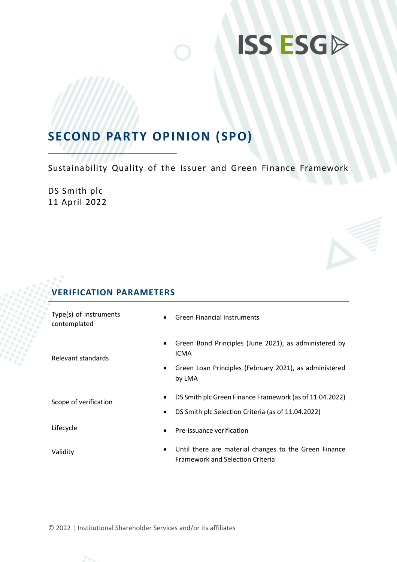# **ISS ESGD**

## **SECOND PARTY OPINION (SPO)**

Sustainability Quality of the Issuer and Green Finance Framework

DS Smith plc 11 April 2022

## **VERIFICATION PARAMETERS**

| Type(s) of instruments<br>contemplated | <b>Green Financial Instruments</b>                                                               |
|----------------------------------------|--------------------------------------------------------------------------------------------------|
| Relevant standards                     | Green Bond Principles (June 2021), as administered by<br>$\bullet$<br><b>ICMA</b>                |
|                                        | Green Loan Principles (February 2021), as administered<br>$\bullet$<br>by LMA                    |
| Scope of verification                  | DS Smith plc Green Finance Framework (as of 11.04.2022)                                          |
|                                        | DS Smith plc Selection Criteria (as of 11.04.2022)<br>$\bullet$                                  |
| Lifecycle                              | Pre-issuance verification<br>$\bullet$                                                           |
| Validity                               | Until there are material changes to the Green Finance<br><b>Framework and Selection Criteria</b> |

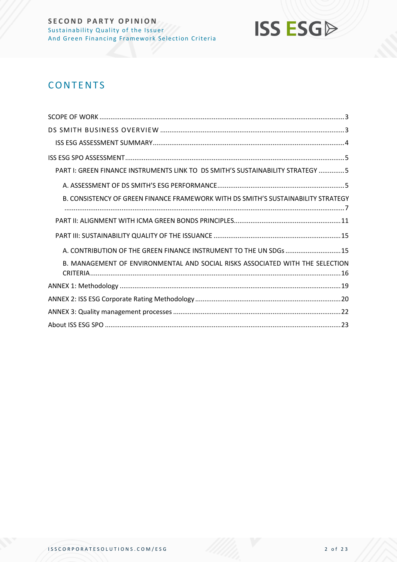

## **CONTENTS**

| PART I: GREEN FINANCE INSTRUMENTS LINK TO DS SMITH'S SUSTAINABILITY STRATEGY 5    |
|-----------------------------------------------------------------------------------|
|                                                                                   |
| B. CONSISTENCY OF GREEN FINANCE FRAMEWORK WITH DS SMITH'S SUSTAINABILITY STRATEGY |
|                                                                                   |
|                                                                                   |
| A. CONTRIBUTION OF THE GREEN FINANCE INSTRUMENT TO THE UN SDGs  15                |
| B. MANAGEMENT OF ENVIRONMENTAL AND SOCIAL RISKS ASSOCIATED WITH THE SELECTION     |
|                                                                                   |
|                                                                                   |
|                                                                                   |
|                                                                                   |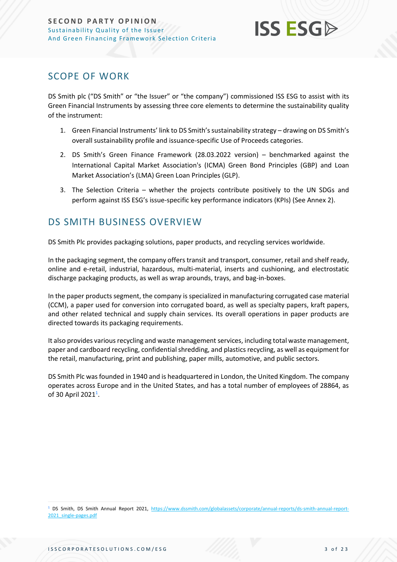

## <span id="page-2-0"></span>SCOPE OF WORK

DS Smith plc ("DS Smith" or "the Issuer" or "the company") commissioned ISS ESG to assist with its Green Financial Instruments by assessing three core elements to determine the sustainability quality of the instrument:

- 1. Green Financial Instruments' link to DS Smith'ssustainability strategy drawing on DS Smith's overall sustainability profile and issuance-specific Use of Proceeds categories.
- 2. DS Smith's Green Finance Framework (28.03.2022 version) benchmarked against the International Capital Market Association's (ICMA) Green Bond Principles (GBP) and Loan Market Association's (LMA) Green Loan Principles (GLP).
- 3. The Selection Criteria whether the projects contribute positively to the UN SDGs and perform against ISS ESG's issue-specific key performance indicators (KPIs) (See Annex 2).

## <span id="page-2-1"></span>DS SMITH BUSINESS OVERVIEW

DS Smith Plc provides packaging solutions, paper products, and recycling services worldwide.

In the packaging segment, the company offers transit and transport, consumer, retail and shelf ready, online and e-retail, industrial, hazardous, multi-material, inserts and cushioning, and electrostatic discharge packaging products, as well as wrap arounds, trays, and bag-in-boxes.

In the paper products segment, the company is specialized in manufacturing corrugated case material (CCM), a paper used for conversion into corrugated board, as well as specialty papers, kraft papers, and other related technical and supply chain services. Its overall operations in paper products are directed towards its packaging requirements.

It also provides various recycling and waste management services, including total waste management, paper and cardboard recycling, confidential shredding, and plastics recycling, as well as equipment for the retail, manufacturing, print and publishing, paper mills, automotive, and public sectors.

DS Smith Plc was founded in 1940 and is headquartered in London, the United Kingdom. The company operates across Europe and in the United States, and has a total number of employees of 28864, as of 30 April 2021<sup>1</sup>.

<sup>&</sup>lt;sup>1</sup> DS Smith, DS Smith Annual Report 2021, [https://www.dssmith.com/globalassets/corporate/annual-reports/ds-smith-annual-report-](https://www.dssmith.com/globalassets/corporate/annual-reports/ds-smith-annual-report-2021_single-pages.pdf)[2021\\_single-pages.pdf](https://www.dssmith.com/globalassets/corporate/annual-reports/ds-smith-annual-report-2021_single-pages.pdf)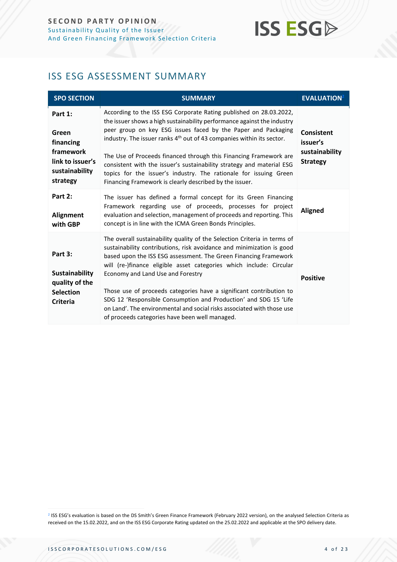## **ISS ESGA**

## <span id="page-3-0"></span>ISS ESG ASSESSMENT SUMMARY

| <b>SPO SECTION</b>                                                                           | <b>SUMMARY</b>                                                                                                                                                                                                                                                                                                                                                                                                                                                                                                                                                                                           | <b>EVALUATION</b> <sup>2</sup>                                     |
|----------------------------------------------------------------------------------------------|----------------------------------------------------------------------------------------------------------------------------------------------------------------------------------------------------------------------------------------------------------------------------------------------------------------------------------------------------------------------------------------------------------------------------------------------------------------------------------------------------------------------------------------------------------------------------------------------------------|--------------------------------------------------------------------|
| Part 1:<br>Green<br>financing<br>framework<br>link to issuer's<br>sustainability<br>strategy | According to the ISS ESG Corporate Rating published on 28.03.2022,<br>the issuer shows a high sustainability performance against the industry<br>peer group on key ESG issues faced by the Paper and Packaging<br>industry. The issuer ranks 4 <sup>th</sup> out of 43 companies within its sector.<br>The Use of Proceeds financed through this Financing Framework are<br>consistent with the issuer's sustainability strategy and material ESG<br>topics for the issuer's industry. The rationale for issuing Green<br>Financing Framework is clearly described by the issuer.                        | <b>Consistent</b><br>issuer's<br>sustainability<br><b>Strategy</b> |
| Part 2:<br>Alignment<br>with GBP                                                             | The issuer has defined a formal concept for its Green Financing<br>Framework regarding use of proceeds, processes for project<br>evaluation and selection, management of proceeds and reporting. This<br>concept is in line with the ICMA Green Bonds Principles.                                                                                                                                                                                                                                                                                                                                        | <b>Aligned</b>                                                     |
| Part 3:<br><b>Sustainability</b><br>quality of the<br><b>Selection</b><br><b>Criteria</b>    | The overall sustainability quality of the Selection Criteria in terms of<br>sustainability contributions, risk avoidance and minimization is good<br>based upon the ISS ESG assessment. The Green Financing Framework<br>will (re-)finance eligible asset categories which include: Circular<br>Economy and Land Use and Forestry<br>Those use of proceeds categories have a significant contribution to<br>SDG 12 'Responsible Consumption and Production' and SDG 15 'Life<br>on Land'. The environmental and social risks associated with those use<br>of proceeds categories have been well managed. | <b>Positive</b>                                                    |

<span id="page-3-1"></span><sup>2</sup> ISS ESG's evaluation is based on the DS Smith's Green Finance Framework (February 2022 version), on the analysed Selection Criteria as received on the 15.02.2022, and on the ISS ESG Corporate Rating updated on the 25.02.2022 and applicable at the SPO delivery date.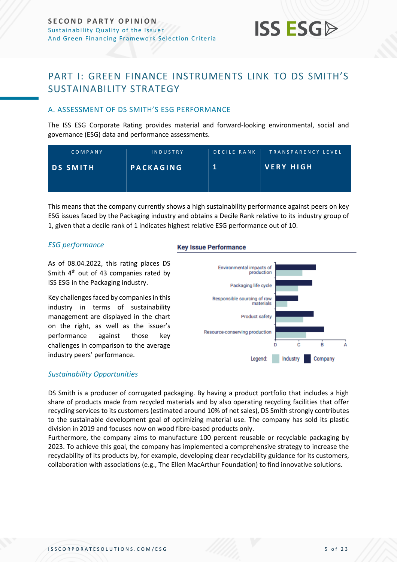## **ISS ESG**

## <span id="page-4-0"></span>PART I: GREEN FINANCE INSTRUMENTS LINK TO DS SMITH'S SUSTAINABILITY STRATEGY

## <span id="page-4-1"></span>A. ASSESSMENT OF DS SMITH'S ESG PERFORMANCE

The ISS ESG Corporate Rating provides material and forward-looking environmental, social and governance (ESG) data and performance assessments.

| COMPANY         | <b>INDUSTRY</b> | DECILE RANK | TRANSPARENCY LEVEL |
|-----------------|-----------------|-------------|--------------------|
| <b>DS SMITH</b> | PACKAGING       |             | <b>VERY HIGH</b>   |
|                 |                 |             |                    |

This means that the company currently shows a high sustainability performance against peers on key ESG issues faced by the Packaging industry and obtains a Decile Rank relative to its industry group of 1, given that a decile rank of 1 indicates highest relative ESG performance out of 10.

## *ESG performance*

As of 08.04.2022, this rating places DS Smith 4<sup>th</sup> out of 43 companies rated by ISS ESG in the Packaging industry.

Key challenges faced by companies in this industry in terms of sustainability management are displayed in the chart on the right, as well as the issuer's performance against those key challenges in comparison to the average industry peers' performance.

### **Key Issue Performance**



## *Sustainability Opportunities*

DS Smith is a producer of corrugated packaging. By having a product portfolio that includes a high share of products made from recycled materials and by also operating recycling facilities that offer recycling services to its customers (estimated around 10% of net sales), DS Smith strongly contributes to the sustainable development goal of optimizing material use. The company has sold its plastic division in 2019 and focuses now on wood fibre-based products only.

Furthermore, the company aims to manufacture 100 percent reusable or recyclable packaging by 2023. To achieve this goal, the company has implemented a comprehensive strategy to increase the recyclability of its products by, for example, developing clear recyclability guidance for its customers, collaboration with associations (e.g., The Ellen MacArthur Foundation) to find innovative solutions.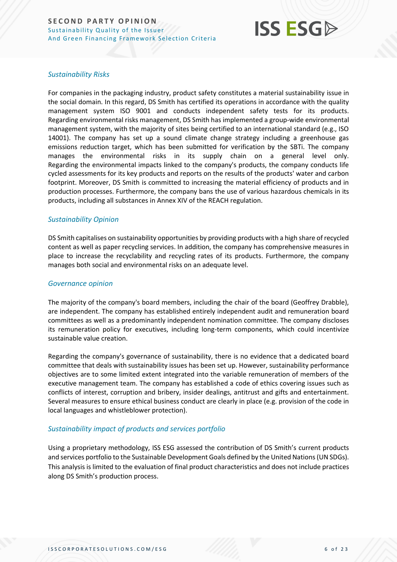

## *Sustainability Risks*

For companies in the packaging industry, product safety constitutes a material sustainability issue in the social domain. In this regard, DS Smith has certified its operations in accordance with the quality management system ISO 9001 and conducts independent safety tests for its products. Regarding environmental risks management, DS Smith has implemented a group-wide environmental management system, with the majority of sites being certified to an international standard (e.g., ISO 14001). The company has set up a sound climate change strategy including a greenhouse gas emissions reduction target, which has been submitted for verification by the SBTi. The company manages the environmental risks in its supply chain on a general level only. Regarding the environmental impacts linked to the company's products, the company conducts life cycled assessments for its key products and reports on the results of the products' water and carbon footprint. Moreover, DS Smith is committed to increasing the material efficiency of products and in production processes. Furthermore, the company bans the use of various hazardous chemicals in its products, including all substances in Annex XIV of the REACH regulation.

## *Sustainability Opinion*

DS Smith capitalises on sustainability opportunities by providing products with a high share of recycled content as well as paper recycling services. In addition, the company has comprehensive measures in place to increase the recyclability and recycling rates of its products. Furthermore, the company manages both social and environmental risks on an adequate level.

## *Governance opinion*

The majority of the company's board members, including the chair of the board (Geoffrey Drabble), are independent. The company has established entirely independent audit and remuneration board committees as well as a predominantly independent nomination committee. The company discloses its remuneration policy for executives, including long-term components, which could incentivize sustainable value creation.

Regarding the company's governance of sustainability, there is no evidence that a dedicated board committee that deals with sustainability issues has been set up. However, sustainability performance objectives are to some limited extent integrated into the variable remuneration of members of the executive management team. The company has established a code of ethics covering issues such as conflicts of interest, corruption and bribery, insider dealings, antitrust and gifts and entertainment. Several measures to ensure ethical business conduct are clearly in place (e.g. provision of the code in local languages and whistleblower protection).

## *Sustainability impact of products and services portfolio*

Using a proprietary methodology, ISS ESG assessed the contribution of DS Smith's current products and services portfolio to the Sustainable Development Goals defined by the United Nations (UN SDGs). This analysis is limited to the evaluation of final product characteristics and does not include practices along DS Smith's production process.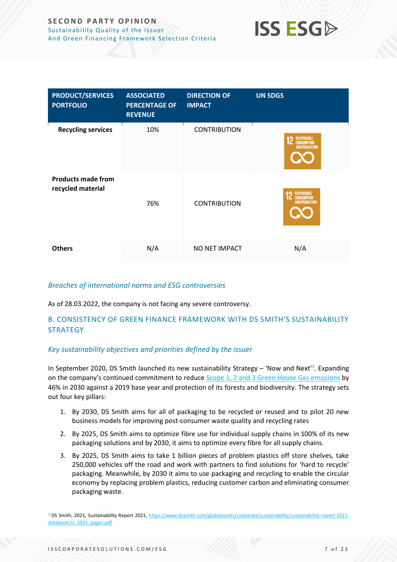

| <b>PRODUCT/SERVICES</b><br><b>PORTFOLIO</b>    | <b>ASSOCIATED</b><br><b>PERCENTAGE OF</b><br><b>REVENUE</b> | <b>DIRECTION OF</b><br><b>IMPACT</b> | <b>UN SDGS</b>                                                    |
|------------------------------------------------|-------------------------------------------------------------|--------------------------------------|-------------------------------------------------------------------|
| <b>Recycling services</b>                      | 10%                                                         | <b>CONTRIBUTION</b>                  | <b>RESPONSIBLE</b><br><b>CONSUMPTION</b><br><b>AND PRODUCTION</b> |
| <b>Products made from</b><br>recycled material | 76%                                                         | <b>CONTRIBUTION</b>                  | <b>RESPONSIBLE</b><br><b>CONSUMPTION</b><br><b>AND PRODUCTION</b> |
| <b>Others</b>                                  | N/A                                                         | NO NET IMPACT                        | N/A                                                               |

## *Breaches of international norms and ESG controversies*

As of 28.03.2022, the company is not facing any severe controversy.

## <span id="page-6-0"></span>B. CONSISTENCY OF GREEN FINANCE FRAMEWORK WITH DS SMITH'S SUSTAINABILITY **STRATEGY**

## *Key sustainability objectives and priorities defined by the issuer*

In September 2020, DS Smith launched its new sustainability Strategy – 'Now and Next'<sup>3</sup>. Expanding on the company's continued commitment to reduce [Scope 1, 2 and 3 Green House Gas emissions](https://www.dssmith.com/media/newsroom/2022/1/ds-smith-accelerates-carbon-reduction-plans-with-1.5c-temperature-alignment-commitment/) by 46% in 2030 against a 2019 base year and protection of its forests and biodiversity. The strategy sets out four key pillars:

- 1. By 2030, DS Smith aims for all of packaging to be recycled or reused and to pilot 20 new business models for improving post-consumer waste quality and recycling rates
- 2. By 2025, DS Smith aims to optimize fibre use for individual supply chains in 100% of its new packaging solutions and by 2030, it aims to optimize every fibre for all supply chains.
- 3. By 2025, DS Smith aims to take 1 billion pieces of problem plastics off store shelves, take 250,000 vehicles off the road and work with partners to find solutions for 'hard to recycle' packaging. Meanwhile, by 2030 it aims to use packaging and recycling to enable the circular economy by replacing problem plastics, reducing customer carbon and eliminating consumer packaging waste.

<sup>3</sup> DS Smith, 2021, Sustainability Report 2021, [https://www.dssmith.com/globalassets/corporate/sustainability/sustainability-report-2021](https://www.dssmith.com/globalassets/corporate/sustainability/sustainability-report-2021-databook/sr_2021_pages.pdf) [databook/sr\\_2021\\_pages.pdf](https://www.dssmith.com/globalassets/corporate/sustainability/sustainability-report-2021-databook/sr_2021_pages.pdf)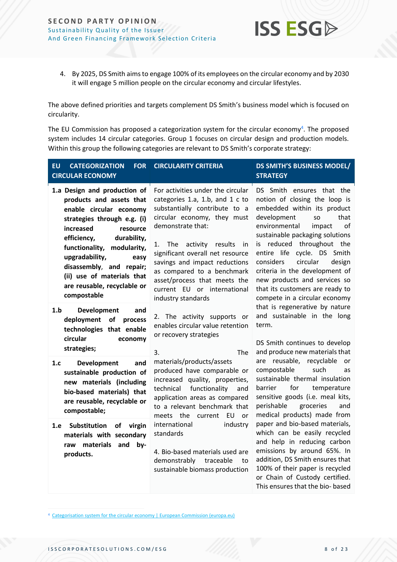

4. By 2025, DS Smith aims to engage 100% of its employees on the circular economy and by 2030 it will engage 5 million people on the circular economy and circular lifestyles.

The above defined priorities and targets complement DS Smith's business model which is focused on circularity.

The EU Commission has proposed a categorization system for the circular economy<sup>4</sup>. The proposed system includes 14 circular categories. Group 1 focuses on circular design and production models. Within this group the following categories are relevant to DS Smith's corporate strategy:

| <b>EU</b><br><b>CATEGORIZATION</b><br><b>FOR</b><br><b>CIRCULAR ECONOMY</b>                                                                                                                                                                                                                                                               | <b>CIRCULARITY CRITERIA</b>                                                                                                                                                                                                                                                                                                                                                           | <b>DS SMITH'S BUSINESS MODEL/</b><br><b>STRATEGY</b>                                                                                                                                                                                                                                                                                                                                                                                                                                                                                                                         |
|-------------------------------------------------------------------------------------------------------------------------------------------------------------------------------------------------------------------------------------------------------------------------------------------------------------------------------------------|---------------------------------------------------------------------------------------------------------------------------------------------------------------------------------------------------------------------------------------------------------------------------------------------------------------------------------------------------------------------------------------|------------------------------------------------------------------------------------------------------------------------------------------------------------------------------------------------------------------------------------------------------------------------------------------------------------------------------------------------------------------------------------------------------------------------------------------------------------------------------------------------------------------------------------------------------------------------------|
| 1.a Design and production of<br>products and assets that<br>enable circular economy<br>strategies through e.g. (i)<br>increased<br>resource<br>efficiency,<br>durability,<br>functionality, modularity,<br>upgradability,<br>easy<br>disassembly, and repair;<br>(ii) use of materials that<br>are reusable, recyclable or<br>compostable | For activities under the circular<br>categories 1.a, 1.b, and 1 c to<br>substantially contribute to a<br>circular economy, they must<br>demonstrate that:<br>activity results<br>1. The<br>in<br>significant overall net resource<br>savings and impact reductions<br>as compared to a benchmark<br>asset/process that meets the<br>current EU or international<br>industry standards | DS Smith ensures that the<br>notion of closing the loop is<br>embedded within its product<br>that<br>development<br>SO<br>environmental<br>impact<br>of<br>sustainable packaging solutions<br>is reduced throughout the<br>entire life cycle. DS Smith<br>considers<br>circular<br>design<br>criteria in the development of<br>new products and services so<br>that its customers are ready to<br>compete in a circular economy<br>that is regenerative by nature<br>and sustainable in the long<br>term.<br>DS Smith continues to develop<br>and produce new materials that |
| 1.b<br>Development<br>and<br>deployment<br>of<br>process<br>technologies that enable<br>circular<br>economy<br>strategies;                                                                                                                                                                                                                | 2. The activity supports or<br>enables circular value retention<br>or recovery strategies<br>3.<br>The                                                                                                                                                                                                                                                                                |                                                                                                                                                                                                                                                                                                                                                                                                                                                                                                                                                                              |
| <b>Development</b><br>1.c<br>and<br>sustainable production of<br>new materials (including<br>bio-based materials) that<br>are reusable, recyclable or<br>compostable;                                                                                                                                                                     | materials/products/assets<br>produced have comparable or<br>increased quality, properties,<br>functionality<br>technical<br>and<br>application areas as compared<br>to a relevant benchmark that<br>current EU<br>meets the<br><b>or</b>                                                                                                                                              | are reusable, recyclable<br>or<br>compostable<br>such<br>as<br>sustainable thermal insulation<br>for<br>temperature<br>barrier<br>sensitive goods (i.e. meal kits,<br>groceries<br>perishable<br>and<br>medical products) made from                                                                                                                                                                                                                                                                                                                                          |
| 1.e Substitution<br>of<br>virgin<br>materials with secondary<br>raw materials and by-<br>products.                                                                                                                                                                                                                                        | international<br>industry<br>standards<br>4. Bio-based materials used are<br>demonstrably<br>traceable<br>to<br>sustainable biomass production                                                                                                                                                                                                                                        | paper and bio-based materials,<br>which can be easily recycled<br>and help in reducing carbon<br>emissions by around 65%. In<br>addition, DS Smith ensures that<br>100% of their paper is recycled<br>or Chain of Custody certified.<br>This ensures that the bio- based                                                                                                                                                                                                                                                                                                     |

<sup>4</sup> [Categorisation system for the circular economy | European Commission \(europa.eu\)](https://ec.europa.eu/info/publications/categorisation-system-circular-economy_en)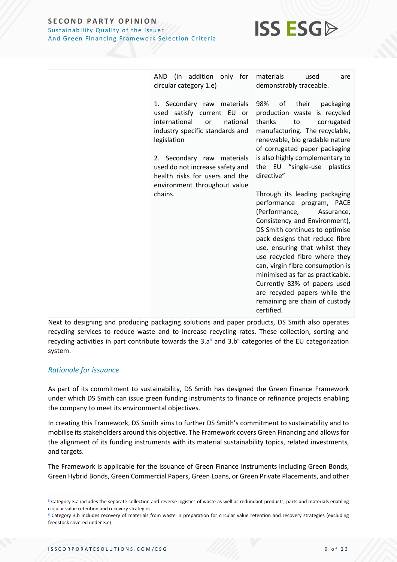

| AND (in addition only for                                                                                                                                                                                                                                                                                                                | used                                                                                                                                                                                                                                                                                                                                                                                                                                                                                                                                                                                                                                                                                                |
|------------------------------------------------------------------------------------------------------------------------------------------------------------------------------------------------------------------------------------------------------------------------------------------------------------------------------------------|-----------------------------------------------------------------------------------------------------------------------------------------------------------------------------------------------------------------------------------------------------------------------------------------------------------------------------------------------------------------------------------------------------------------------------------------------------------------------------------------------------------------------------------------------------------------------------------------------------------------------------------------------------------------------------------------------------|
| materials                                                                                                                                                                                                                                                                                                                                | are                                                                                                                                                                                                                                                                                                                                                                                                                                                                                                                                                                                                                                                                                                 |
| circular category 1.e)                                                                                                                                                                                                                                                                                                                   | demonstrably traceable.                                                                                                                                                                                                                                                                                                                                                                                                                                                                                                                                                                                                                                                                             |
| 1. Secondary raw materials<br>98%<br>used satisfy current EU or<br>international<br>national<br>thanks<br>or<br>industry specific standards and<br>legislation<br>2. Secondary raw materials<br>used do not increase safety and<br>directive"<br>health risks for users and the<br>environment throughout value<br>chains.<br>certified. | οf<br>their<br>packaging<br>production waste is recycled<br>to<br>corrugated<br>manufacturing. The recyclable,<br>renewable, bio gradable nature<br>of corrugated paper packaging<br>is also highly complementary to<br>the EU "single-use plastics<br>Through its leading packaging<br>performance program, PACE<br>(Performance,<br>Assurance,<br>Consistency and Environment),<br>DS Smith continues to optimise<br>pack designs that reduce fibre<br>use, ensuring that whilst they<br>use recycled fibre where they<br>can, virgin fibre consumption is<br>minimised as far as practicable.<br>Currently 83% of papers used<br>are recycled papers while the<br>remaining are chain of custody |

Next to designing and producing packaging solutions and paper products, DS Smith also operates recycling services to reduce waste and to increase recycling rates. These collection, sorting and recycling activities in part contribute towards the 3.a<sup>5</sup> and 3.b<sup>6</sup> categories of the EU categorization system.

## *Rationale for issuance*

As part of its commitment to sustainability, DS Smith has designed the Green Finance Framework under which DS Smith can issue green funding instruments to finance or refinance projects enabling the company to meet its environmental objectives.

In creating this Framework, DS Smith aims to further DS Smith's commitment to sustainability and to mobilise its stakeholders around this objective. The Framework covers Green Financing and allows for the alignment of its funding instruments with its material sustainability topics, related investments, and targets.

The Framework is applicable for the issuance of Green Finance Instruments including Green Bonds, Green Hybrid Bonds, Green Commercial Papers, Green Loans, or Green Private Placements, and other

<sup>5</sup> Category 3.a includes the separate collection and reverse logistics of waste as well as redundant products, parts and materials enabling circular value retention and recovery strategies.

<sup>&</sup>lt;sup>6</sup> Category 3.b includes recovery of materials from waste in preparation for circular value retention and recovery strategies (excluding feedstock covered under 3.c)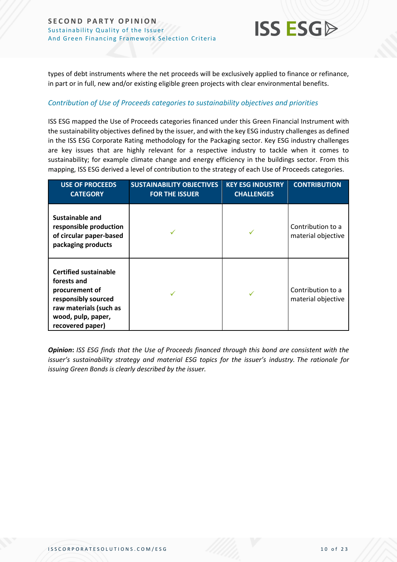types of debt instruments where the net proceeds will be exclusively applied to finance or refinance, in part or in full, new and/or existing eligible green projects with clear environmental benefits.

**ISS ESG** 

## *Contribution of Use of Proceeds categories to sustainability objectives and priorities*

ISS ESG mapped the Use of Proceeds categories financed under this Green Financial Instrument with the sustainability objectives defined by the issuer, and with the key ESG industry challenges as defined in the ISS ESG Corporate Rating methodology for the Packaging sector. Key ESG industry challenges are key issues that are highly relevant for a respective industry to tackle when it comes to sustainability; for example climate change and energy efficiency in the buildings sector. From this mapping, ISS ESG derived a level of contribution to the strategy of each Use of Proceeds categories.

| <b>USE OF PROCEEDS</b><br><b>CATEGORY</b>                                                                                                                | <b>SUSTAINABILITY OBJECTIVES</b><br><b>FOR THE ISSUER</b> | <b>KEY ESG INDUSTRY</b><br><b>CHALLENGES</b> | <b>CONTRIBUTION</b>                     |
|----------------------------------------------------------------------------------------------------------------------------------------------------------|-----------------------------------------------------------|----------------------------------------------|-----------------------------------------|
| Sustainable and<br>responsible production<br>of circular paper-based<br>packaging products                                                               |                                                           |                                              | Contribution to a<br>material objective |
| <b>Certified sustainable</b><br>forests and<br>procurement of<br>responsibly sourced<br>raw materials (such as<br>wood, pulp, paper,<br>recovered paper) |                                                           |                                              | Contribution to a<br>material objective |

*Opinion***:** *ISS ESG finds that the Use of Proceeds financed through this bond are consistent with the issuer's sustainability strategy and material ESG topics for the issuer's industry. The rationale for issuing Green Bonds is clearly described by the issuer.*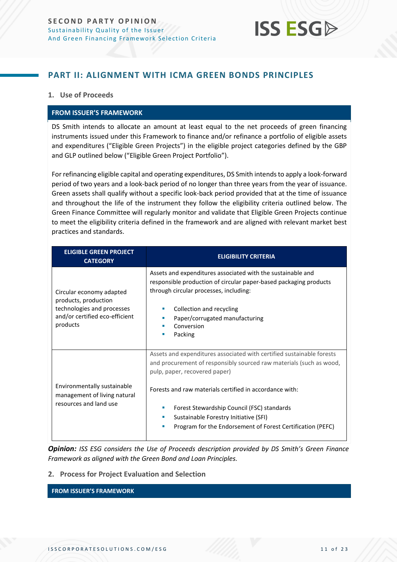

## <span id="page-10-0"></span>**PART II: ALIGNMENT WITH ICMA GREEN BONDS PRINCIPLES**

## **1. Use of Proceeds**

### **FROM ISSUER'S FRAMEWORK**

DS Smith intends to allocate an amount at least equal to the net proceeds of green financing instruments issued under this Framework to finance and/or refinance a portfolio of eligible assets and expenditures ("Eligible Green Projects") in the eligible project categories defined by the GBP and GLP outlined below ("Eligible Green Project Portfolio").

For refinancing eligible capital and operating expenditures, DS Smith intends to apply a look-forward period of two years and a look-back period of no longer than three years from the year of issuance. Green assets shall qualify without a specific look-back period provided that at the time of issuance and throughout the life of the instrument they follow the eligibility criteria outlined below. The Green Finance Committee will regularly monitor and validate that Eligible Green Projects continue to meet the eligibility criteria defined in the framework and are aligned with relevant market best practices and standards.

| <b>ELIGIBLE GREEN PROJECT</b><br><b>CATEGORY</b>                                                                             | <b>ELIGIBILITY CRITERIA</b>                                                                                                                                                                                                                                                                                                                                                                             |
|------------------------------------------------------------------------------------------------------------------------------|---------------------------------------------------------------------------------------------------------------------------------------------------------------------------------------------------------------------------------------------------------------------------------------------------------------------------------------------------------------------------------------------------------|
| Circular economy adapted<br>products, production<br>technologies and processes<br>and/or certified eco-efficient<br>products | Assets and expenditures associated with the sustainable and<br>responsible production of circular paper-based packaging products<br>through circular processes, including:<br>Collection and recycling<br>Paper/corrugated manufacturing<br>Conversion<br>Packing                                                                                                                                       |
| Environmentally sustainable<br>management of living natural<br>resources and land use                                        | Assets and expenditures associated with certified sustainable forests<br>and procurement of responsibly sourced raw materials (such as wood,<br>pulp, paper, recovered paper)<br>Forests and raw materials certified in accordance with:<br>Forest Stewardship Council (FSC) standards<br>ш<br>Sustainable Forestry Initiative (SFI)<br>Program for the Endorsement of Forest Certification (PEFC)<br>п |

*Opinion: ISS ESG considers the Use of Proceeds description provided by DS Smith's Green Finance Framework as aligned with the Green Bond and Loan Principles.* 

### **2. Process for Project Evaluation and Selection**

**FROM ISSUER'S FRAMEWORK**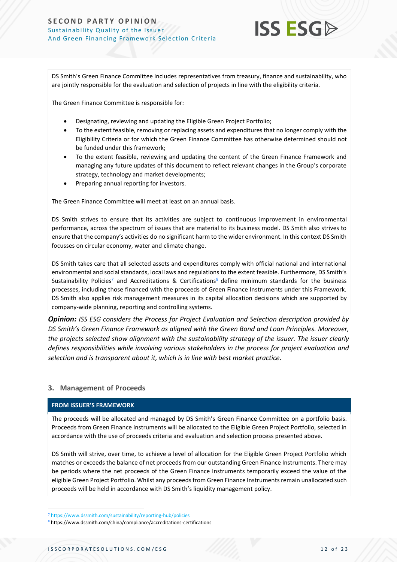

DS Smith's Green Finance Committee includes representatives from treasury, finance and sustainability, who are jointly responsible for the evaluation and selection of projects in line with the eligibility criteria.

The Green Finance Committee is responsible for:

- Designating, reviewing and updating the Eligible Green Project Portfolio;
- To the extent feasible, removing or replacing assets and expenditures that no longer comply with the Eligibility Criteria or for which the Green Finance Committee has otherwise determined should not be funded under this framework;
- To the extent feasible, reviewing and updating the content of the Green Finance Framework and managing any future updates of this document to reflect relevant changes in the Group's corporate strategy, technology and market developments;
- Preparing annual reporting for investors.

The Green Finance Committee will meet at least on an annual basis.

DS Smith strives to ensure that its activities are subject to continuous improvement in environmental performance, across the spectrum of issues that are material to its business model. DS Smith also strives to ensure that the company's activities do no significant harm to the wider environment. In this context DS Smith focusses on circular economy, water and climate change.

DS Smith takes care that all selected assets and expenditures comply with official national and international environmental and social standards, local laws and regulations to the extent feasible. Furthermore, DS Smith's Sustainability Policies<sup>7</sup> and Accreditations & Certifications<sup>8</sup> define minimum standards for the business processes, including those financed with the proceeds of Green Finance Instruments under this Framework. DS Smith also applies risk management measures in its capital allocation decisions which are supported by company-wide planning, reporting and controlling systems.

*Opinion: ISS ESG considers the Process for Project Evaluation and Selection description provided by DS Smith's Green Finance Framework as aligned with the Green Bond and Loan Principles. Moreover, the projects selected show alignment with the sustainability strategy of the issuer. The issuer clearly defines responsibilities while involving various stakeholders in the process for project evaluation and selection and is transparent about it, which is in line with best market practice.* 

## **3. Management of Proceeds**

## **FROM ISSUER'S FRAMEWORK**

The proceeds will be allocated and managed by DS Smith's Green Finance Committee on a portfolio basis. Proceeds from Green Finance instruments will be allocated to the Eligible Green Project Portfolio, selected in accordance with the use of proceeds criteria and evaluation and selection process presented above.

DS Smith will strive, over time, to achieve a level of allocation for the Eligible Green Project Portfolio which matches or exceeds the balance of net proceeds from our outstanding Green Finance Instruments. There may be periods where the net proceeds of the Green Finance Instruments temporarily exceed the value of the eligible Green Project Portfolio. Whilst any proceeds from Green Finance Instruments remain unallocated such proceeds will be held in accordance with DS Smith's liquidity management policy.

<sup>7</sup> <https://www.dssmith.com/sustainability/reporting-hub/policies>

<sup>8</sup> https://www.dssmith.com/china/compliance/accreditations-certifications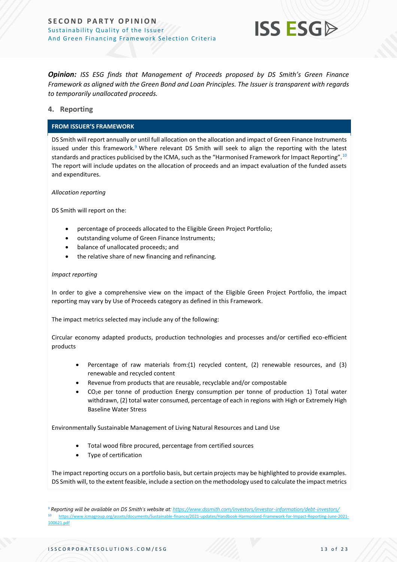

*Opinion: ISS ESG finds that Management of Proceeds proposed by DS Smith's Green Finance Framework as aligned with the Green Bond and Loan Principles. The Issuer is transparent with regards to temporarily unallocated proceeds.* 

## **4. Reporting**

### **FROM ISSUER'S FRAMEWORK**

DS Smith will report annually or until full allocation on the allocation and impact of Green Finance Instruments issued under this framework.<sup>9</sup> Where relevant DS Smith will seek to align the reporting with the latest standards and practices publicised by the ICMA, such as the "Harmonised Framework for Impact Reporting".<sup>10</sup> The report will include updates on the allocation of proceeds and an impact evaluation of the funded assets and expenditures.

*Allocation reporting*

DS Smith will report on the:

- percentage of proceeds allocated to the Eligible Green Project Portfolio;
- outstanding volume of Green Finance Instruments;
- balance of unallocated proceeds; and
- the relative share of new financing and refinancing.

#### *Impact reporting*

In order to give a comprehensive view on the impact of the Eligible Green Project Portfolio, the impact reporting may vary by Use of Proceeds category as defined in this Framework.

The impact metrics selected may include any of the following:

Circular economy adapted products, production technologies and processes and/or certified eco-efficient products

- Percentage of raw materials from:(1) recycled content, (2) renewable resources, and (3) renewable and recycled content
- Revenue from products that are reusable, recyclable and/or compostable
- $CO<sub>2</sub>e$  per tonne of production Energy consumption per tonne of production 1) Total water withdrawn, (2) total water consumed, percentage of each in regions with High or Extremely High Baseline Water Stress

Environmentally Sustainable Management of Living Natural Resources and Land Use

- Total wood fibre procured, percentage from certified sources
- Type of certification

The impact reporting occurs on a portfolio basis, but certain projects may be highlighted to provide examples. DS Smith will, to the extent feasible, include a section on the methodology used to calculate the impact metrics

<sup>9</sup> *Reporting will be available on DS Smith's website at: <https://www.dssmith.com/investors/investor-information/debt-investors/>* <sup>10</sup> [https://www.icmagroup.org/assets/documents/Sustainable-finance/2021-updates/Handbook-Harmonised-Framework-for-Impact-Reporting-June-2021-](https://www.icmagroup.org/assets/documents/Sustainable-finance/2021-updates/Handbook-Harmonised-Framework-for-Impact-Reporting-June-2021-100621.pdf) [100621.pdf](https://www.icmagroup.org/assets/documents/Sustainable-finance/2021-updates/Handbook-Harmonised-Framework-for-Impact-Reporting-June-2021-100621.pdf)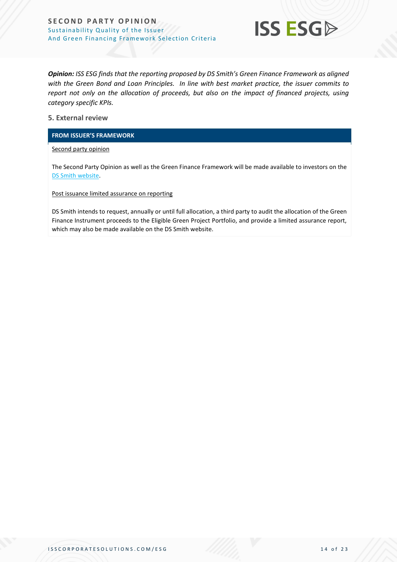

*Opinion: ISS ESG finds that the reporting proposed by DS Smith's Green Finance Framework as aligned with the Green Bond and Loan Principles. In line with best market practice, the issuer commits to report not only on the allocation of proceeds, but also on the impact of financed projects, using category specific KPIs.*

## **5. External review**

### **FROM ISSUER'S FRAMEWORK**

Second party opinion

The Second Party Opinion as well as the Green Finance Framework will be made available to investors on the [DS Smith website.](https://www.dssmith.com/)

Post issuance limited assurance on reporting

DS Smith intends to request, annually or until full allocation, a third party to audit the allocation of the Green Finance Instrument proceeds to the Eligible Green Project Portfolio, and provide a limited assurance report, which may also be made available on the DS Smith website.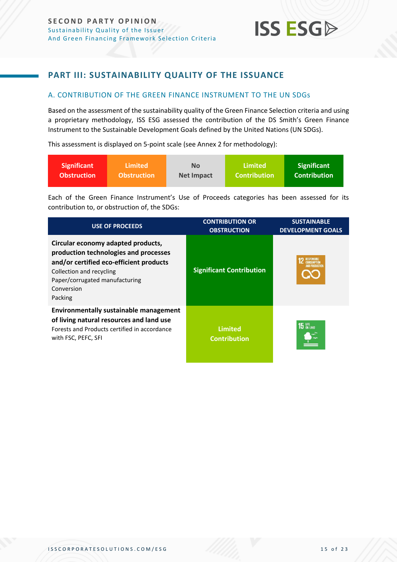## <span id="page-14-0"></span>**PART III: SUSTAINABILITY QUALITY OF THE ISSUANCE**

## <span id="page-14-1"></span>A. CONTRIBUTION OF THE GREEN FINANCE INSTRUMENT TO THE UN SDGs

Based on the assessment of the sustainability quality of the Green Finance Selection criteria and using a proprietary methodology, ISS ESG assessed the contribution of the DS Smith's Green Finance Instrument to the Sustainable Development Goals defined by the United Nations (UN SDGs).

This assessment is displayed on 5-point scale (see Annex 2 for methodology):

| <b>Significant</b> | Limited            | Nο                | Limited             | <b>Significant</b>  |
|--------------------|--------------------|-------------------|---------------------|---------------------|
| <b>Obstruction</b> | <b>Obstruction</b> | <b>Net Impact</b> | <b>Contribution</b> | <b>Contribution</b> |

Each of the Green Finance Instrument's Use of Proceeds categories has been assessed for its contribution to, or obstruction of, the SDGs:

| <b>USE OF PROCEEDS</b>                                                                                                                                                                                        | <b>CONTRIBUTION OR</b><br><b>OBSTRUCTION</b> | <b>SUSTAINABLE</b><br><b>DEVELOPMENT GOALS</b> |
|---------------------------------------------------------------------------------------------------------------------------------------------------------------------------------------------------------------|----------------------------------------------|------------------------------------------------|
| Circular economy adapted products,<br>production technologies and processes<br>and/or certified eco-efficient products<br>Collection and recycling<br>Paper/corrugated manufacturing<br>Conversion<br>Packing | <b>Significant Contribution</b>              |                                                |
| <b>Environmentally sustainable management</b><br>of living natural resources and land use<br>Forests and Products certified in accordance<br>with FSC, PEFC, SFI                                              | <b>Limited</b><br><b>Contribution</b>        | 15 UFE                                         |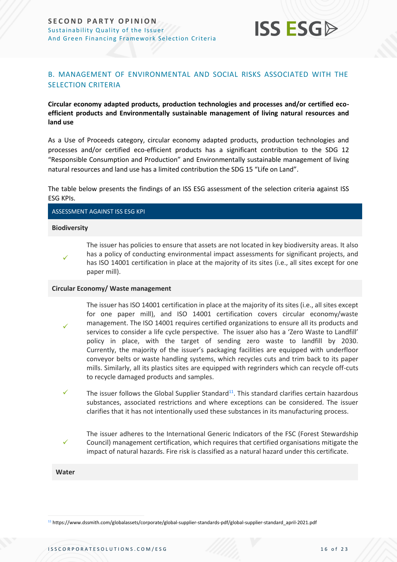

## <span id="page-15-0"></span>B. MANAGEMENT OF ENVIRONMENTAL AND SOCIAL RISKS ASSOCIATED WITH THE SELECTION CRITERIA

## **Circular economy adapted products, production technologies and processes and/or certified ecoefficient products and Environmentally sustainable management of living natural resources and land use**

As a Use of Proceeds category, circular economy adapted products, production technologies and processes and/or certified eco-efficient products has a significant contribution to the SDG 12 "Responsible Consumption and Production" and Environmentally sustainable management of living natural resources and land use has a limited contribution the SDG 15 "Life on Land".

The table below presents the findings of an ISS ESG assessment of the selection criteria against ISS ESG KPIs.

ASSESSMENT AGAINST ISS ESG KPI

#### **Biodiversity**

✓

✓

The issuer has policies to ensure that assets are not located in key biodiversity areas. It also has a policy of conducting environmental impact assessments for significant projects, and has ISO 14001 certification in place at the majority of its sites (i.e., all sites except for one paper mill).

#### **Circular Economy/ Waste management**

- The issuer has ISO 14001 certification in place at the majority of its sites (i.e., all sites except for one paper mill), and ISO 14001 certification covers circular economy/waste management. The ISO 14001 requires certified organizations to ensure all its products and services to consider a life cycle perspective. The issuer also has a 'Zero Waste to Landfill' policy in place, with the target of sending zero waste to landfill by 2030. Currently, the majority of the issuer's packaging facilities are equipped with underfloor conveyor belts or waste handling systems, which recycles cuts and trim back to its paper mills. Similarly, all its plastics sites are equipped with regrinders which can recycle off-cuts to recycle damaged products and samples.
- $\checkmark$  The issuer follows the Global Supplier Standard<sup>11</sup>. This standard clarifies certain hazardous substances, associated restrictions and where exceptions can be considered. The issuer clarifies that it has not intentionally used these substances in its manufacturing process.
	- The issuer adheres to the International Generic Indicators of the FSC (Forest Stewardship Council) management certification, which requires that certified organisations mitigate the impact of natural hazards. Fire risk is classified as a natural hazard under this certificate.

#### **Water**

✓

<sup>11</sup> https://www.dssmith.com/globalassets/corporate/global-supplier-standards-pdf/global-supplier-standard\_april-2021.pdf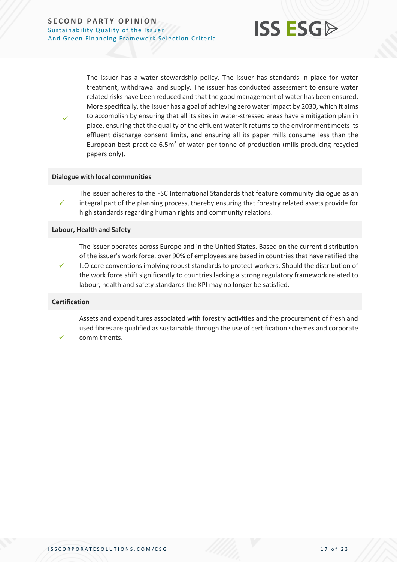

The issuer has a water stewardship policy. The issuer has standards in place for water treatment, withdrawal and supply. The issuer has conducted assessment to ensure water related risks have been reduced and that the good management of water has been ensured. More specifically, the issuer has a goal of achieving zero water impact by 2030, which it aims to accomplish by ensuring that all its sites in water-stressed areas have a mitigation plan in place, ensuring that the quality of the effluent water it returns to the environment meets its effluent discharge consent limits, and ensuring all its paper mills consume less than the European best-practice  $6.5m<sup>3</sup>$  of water per tonne of production (mills producing recycled papers only).

### **Dialogue with local communities**

✓ The issuer adheres to the FSC International Standards that feature community dialogue as an integral part of the planning process, thereby ensuring that forestry related assets provide for high standards regarding human rights and community relations.

#### **Labour, Health and Safety**

The issuer operates across Europe and in the United States. Based on the current distribution of the issuer's work force, over 90% of employees are based in countries that have ratified the

✓ ILO core conventions implying robust standards to protect workers. Should the distribution of the work force shift significantly to countries lacking a strong regulatory framework related to labour, health and safety standards the KPI may no longer be satisfied.

#### **Certification**

✓

✓

Assets and expenditures associated with forestry activities and the procurement of fresh and used fibres are qualified as sustainable through the use of certification schemes and corporate commitments.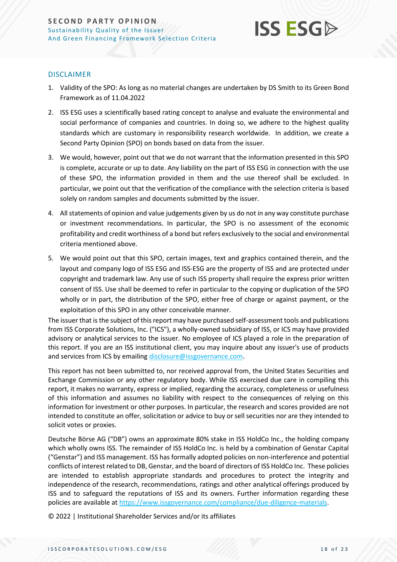

## DISCLAIMER

- 1. Validity of the SPO: As long as no material changes are undertaken by DS Smith to its Green Bond Framework as of 11.04.2022
- 2. ISS ESG uses a scientifically based rating concept to analyse and evaluate the environmental and social performance of companies and countries. In doing so, we adhere to the highest quality standards which are customary in responsibility research worldwide. In addition, we create a Second Party Opinion (SPO) on bonds based on data from the issuer.
- 3. We would, however, point out that we do not warrant that the information presented in this SPO is complete, accurate or up to date. Any liability on the part of ISS ESG in connection with the use of these SPO, the information provided in them and the use thereof shall be excluded. In particular, we point out that the verification of the compliance with the selection criteria is based solely on random samples and documents submitted by the issuer.
- 4. All statements of opinion and value judgements given by us do not in any way constitute purchase or investment recommendations. In particular, the SPO is no assessment of the economic profitability and credit worthiness of a bond but refers exclusively to the social and environmental criteria mentioned above.
- 5. We would point out that this SPO, certain images, text and graphics contained therein, and the layout and company logo of ISS ESG and ISS-ESG are the property of ISS and are protected under copyright and trademark law. Any use of such ISS property shall require the express prior written consent of ISS. Use shall be deemed to refer in particular to the copying or duplication of the SPO wholly or in part, the distribution of the SPO, either free of charge or against payment, or the exploitation of this SPO in any other conceivable manner.

The issuer that is the subject of this report may have purchased self-assessment tools and publications from ISS Corporate Solutions, Inc. ("ICS"), a wholly-owned subsidiary of ISS, or ICS may have provided advisory or analytical services to the issuer. No employee of ICS played a role in the preparation of this report. If you are an ISS institutional client, you may inquire about any issuer's use of products and services from ICS by emailin[g disclosure@issgovernance.com.](mailto:disclosure@issgovernance.com)

This report has not been submitted to, nor received approval from, the United States Securities and Exchange Commission or any other regulatory body. While ISS exercised due care in compiling this report, it makes no warranty, express or implied, regarding the accuracy, completeness or usefulness of this information and assumes no liability with respect to the consequences of relying on this information for investment or other purposes. In particular, the research and scores provided are not intended to constitute an offer, solicitation or advice to buy or sell securities nor are they intended to solicit votes or proxies.

Deutsche Börse AG ("DB") owns an approximate 80% stake in ISS HoldCo Inc., the holding company which wholly owns ISS. The remainder of ISS HoldCo Inc. is held by a combination of Genstar Capital ("Genstar") and ISS management. ISS has formally adopted policies on non-interference and potential conflicts of interest related to DB, Genstar, and the board of directors of ISS HoldCo Inc. These policies are intended to establish appropriate standards and procedures to protect the integrity and independence of the research, recommendations, ratings and other analytical offerings produced by ISS and to safeguard the reputations of ISS and its owners. Further information regarding these policies are available a[t https://www.issgovernance.com/compliance/due-diligence-materials.](https://www.issgovernance.com/compliance/due-diligence-materials)

© 2022 | Institutional Shareholder Services and/or its affiliates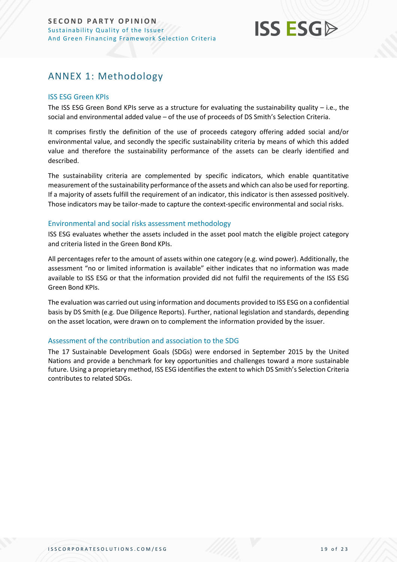

## <span id="page-18-0"></span>ANNEX 1: Methodology

## ISS ESG Green KPIs

The ISS ESG Green Bond KPIs serve as a structure for evaluating the sustainability quality – i.e., the social and environmental added value – of the use of proceeds of DS Smith's Selection Criteria.

It comprises firstly the definition of the use of proceeds category offering added social and/or environmental value, and secondly the specific sustainability criteria by means of which this added value and therefore the sustainability performance of the assets can be clearly identified and described.

The sustainability criteria are complemented by specific indicators, which enable quantitative measurement of the sustainability performance of the assets and which can also be used for reporting. If a majority of assets fulfill the requirement of an indicator, this indicator is then assessed positively. Those indicators may be tailor-made to capture the context-specific environmental and social risks.

### Environmental and social risks assessment methodology

ISS ESG evaluates whether the assets included in the asset pool match the eligible project category and criteria listed in the Green Bond KPIs.

All percentages refer to the amount of assets within one category (e.g. wind power). Additionally, the assessment "no or limited information is available" either indicates that no information was made available to ISS ESG or that the information provided did not fulfil the requirements of the ISS ESG Green Bond KPIs.

The evaluation was carried out using information and documents provided to ISS ESG on a confidential basis by DS Smith (e.g. Due Diligence Reports). Further, national legislation and standards, depending on the asset location, were drawn on to complement the information provided by the issuer.

## Assessment of the contribution and association to the SDG

The 17 Sustainable Development Goals (SDGs) were endorsed in September 2015 by the United Nations and provide a benchmark for key opportunities and challenges toward a more sustainable future. Using a proprietary method, ISS ESG identifies the extent to which DS Smith's Selection Criteria contributes to related SDGs.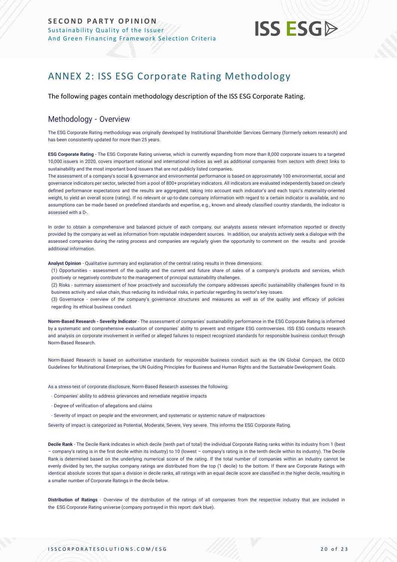## **ISS ESG**

## <span id="page-19-0"></span>ANNEX 2: ISS ESG Corporate Rating Methodology

The following pages contain methodology description of the ISS ESG Corporate Rating.

## Methodology - Overview

The ESG Corporate Rating methodology was originally developed by Institutional Shareholder Services Germany (formerly oekom research) and has been consistently updated for more than 25 years.

**ESG Corporate Rating** - The ESG Corporate Rating universe, which is currently expanding from more than 8,000 corporate issuers to a targeted 10,000 issuers in 2020, covers important national and international indices as well as additional companies from sectors with direct links to sustainability and the most important bond issuers that are not publicly listed companies.

The assessment of a company's social & governance and environmental performance is based on approximately 100 environmental, social and governance indicators per sector, selected from a pool of 800+ proprietary indicators. All indicators are evaluated independently based on clearly defined performance expectations and the results are aggregated, taking into account each indicator's and each topic's materiality-oriented weight, to yield an overall score (rating). If no relevant or up-to-date company information with regard to a certain indicator is available, and no assumptions can be made based on predefined standards and expertise, e.g., known and already classified country standards, the indicator is assessed with a D-.

In order to obtain a comprehensive and balanced picture of each company, our analysts assess relevant information reported or directly provided by the company as well as information from reputable independent sources. In addition, our analysts actively seek a dialogue with the assessed companies during the rating process and companies are regularly given the opportunity to comment on the results and provide additional information.

**Analyst Opinion** - Qualitative summary and explanation of the central rating results in three dimensions:

(1) Opportunities - assessment of the quality and the current and future share of sales of a company's products and services, which positively or negatively contribute to the management of principal sustainability challenges.

(2) Risks - summary assessment of how proactively and successfully the company addresses specific sustainability challenges found in its business activity and value chain, thus reducing its individual risks, in particular regarding its sector's key issues.

(3) Governance - overview of the company's governance structures and measures as well as of the quality and efficacy of policies regarding its ethical business conduct.

**Norm-Based Research - Severity Indicator** - The assessment of companies' sustainability performance in the ESG Corporate Rating is informed by a systematic and comprehensive evaluation of companies' ability to prevent and mitigate ESG controversies. ISS ESG conducts research and analysis on corpor[ate involvement in verified or alleged failures to respect recognized standards for responsible business conduct through](https://www.issgovernance.com/esg/screening/esg-screening-solutions/#nbr_techdoc_download)  [Norm-Based](https://www.issgovernance.com/esg/screening/esg-screening-solutions/#nbr_techdoc_download) Research.

Norm-Based Research is based on authoritative standards for responsible business conduct such as the UN Global Compact, the OECD Guidelines for Multinational Enterprises, the UN Guiding Principles for Business and Human Rights and the Sustainable Development Goals.

As a stress-test of corporate disclosure, Norm-Based Research assesses the following:

- Companies' ability to address grievances and remediate negative impacts
- Degree of verification of allegations and claims
- Severity of impact on people and the environment, and systematic or systemic nature of malpractices

Severity of impact is categorized as Potential, Moderate, Severe, Very severe. This informs the ESG Corporate Rating.

**Decile Rank** - The Decile Rank indicates in which decile (tenth part of total) the individual Corporate Rating ranks within its industry from 1 (best – company's rating is in the first decile within its industry) to 10 (lowest – company's rating is in the tenth decile within its industry). The Decile Rank is determined based on the underlying numerical score of the rating. If the total number of companies within an industry cannot be evenly divided by ten, the surplus company ratings are distributed from the top (1 decile) to the bottom. If there are Corporate Ratings with identical absolute scores that span a division in decile ranks, all ratings with an equal decile score are classified in the higher decile, resulting in a smaller number of Corporate Ratings in the decile below.

**Distribution of Ratings** - Overview of the distribution of the ratings of all companies from the respective industry that are included in the ESG Corporate Rating universe (company portrayed in this report: dark blue).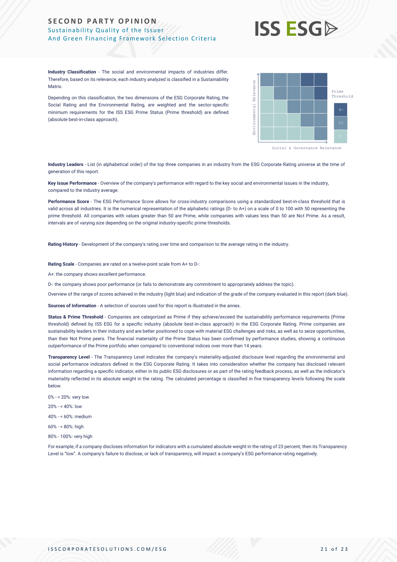## **ISS ESG**

**Industry Classification** - The social and environmental impacts of industries differ. Therefore, based on its relevance, each industry analyzed is classified in a Sustainability **Matrix** 

Depending on this classification, the two dimensions of the ESG Corporate Rating, the Social Rating and the Environmental Rating, are weighted and the sector-specific minimum requirements for the ISS ESG Prime Status (Prime threshold) are defined (absolute best-in-class approach).



**Industry Leaders** - List (in alphabetical order) of the top three companies in an industry from the ESG Corporate Rating universe at the time of generation of this report.

**Key Issue Performance** - Overview of the company's performance with regard to the key social and environmental issues in the industry, compared to the industry average.

**Performance Score** - The ESG Performance Score allows for cross-industry comparisons using a standardized best-in-class threshold that is valid across all industries. It is the numerical representation of the alphabetic ratings (D- to A+) on a scale of 0 to 100 with 50 representing the prime threshold. All companies with values greater than 50 are Prime, while companies with values less than 50 are Not Prime. As a result, intervals are of varying size depending on the original industry-specific prime thresholds.

**Rating History** - Development of the company's rating over time and comparison to the average rating in the industry.

**Rating Scale** - Companies are rated on a twelve-point scale from A+ to D-:

A+: the company shows excellent performance.

D-: the company shows poor performance (or fails to demonstrate any commitment to appropriately address the topic).

Overview of the range of scores achieved in the industry (light blue) and indication of the grade of the company evaluated in this report (dark blue).

**Sources of Information** - A selection of sources used for this report is illustrated in the annex.

Status & Prime Threshold - Companies are categorized as Prime if they achieve/exceed the sustainability performance requirements (Prime threshold) defined by ISS ESG for a specific industry (absolute best-in-class approach) in the ESG Corporate Rating. Prime companies are sustainability leaders in their industry and are better positioned to cope with material ESG challenges and risks, as well as to seize opportunities, than their Not Prime peers. The financial materiality of the Prime Status has been confirmed by performance studies, showing a continuous outperformance of the Prime portfolio when compared to conventional indices over more than 14 years. Metric. The interest of transparence of the static organisms for the static organisms of the static organisms of the static organisms of the static organisms of the static organisms of the static organisms of the static or

**Transparency Level** - The Transparency Level indicates the company's materiality-adjusted disclosure level regarding the environmental and social performance indicators defined in the ESG Corporate Rating. It takes into consideration whether the company has disclosed relevant information regarding a specific indicator, either in its public ESG disclosures or as part of the rating feedback process, as well as the indicator's materiality reflected in its absolute weight in the rating. The calculated percentage is classified in five transparency levels following the scale below.

- 0% < 20%: very low
- 20% < 40%: low

40% - < 60%: medium

- 60% < 80%: high
- 80% 100%: very high

For example, if a company discloses information for indicators with a cumulated absolute weight in the rating of 23 percent, then its Transparency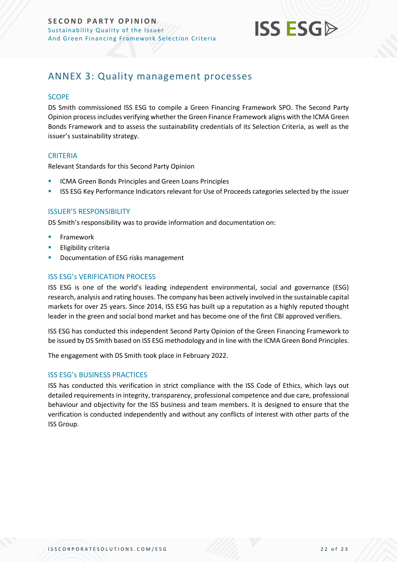

## <span id="page-21-0"></span>ANNEX 3: Quality management processes

## **SCOPE**

DS Smith commissioned ISS ESG to compile a Green Financing Framework SPO. The Second Party Opinion process includes verifying whether the Green Finance Framework aligns with the ICMA Green Bonds Framework and to assess the sustainability credentials of its Selection Criteria, as well as the issuer's sustainability strategy.

## **CRITERIA**

Relevant Standards for this Second Party Opinion

- ICMA Green Bonds Principles and Green Loans Principles
- **ISS ESG Key Performance Indicators relevant for Use of Proceeds categories selected by the issuer**

## ISSUER'S RESPONSIBILITY

DS Smith's responsibility was to provide information and documentation on:

- **Framework**
- **Eligibility criteria**
- Documentation of ESG risks management

## ISS ESG's VERIFICATION PROCESS

ISS ESG is one of the world's leading independent environmental, social and governance (ESG) research, analysis and rating houses. The company has been actively involved in the sustainable capital markets for over 25 years. Since 2014, ISS ESG has built up a reputation as a highly reputed thought leader in the green and social bond market and has become one of the first CBI approved verifiers.

ISS ESG has conducted this independent Second Party Opinion of the Green Financing Framework to be issued by DS Smith based on ISS ESG methodology and in line with the ICMA Green Bond Principles.

The engagement with DS Smith took place in February 2022.

## ISS ESG's BUSINESS PRACTICES

ISS has conducted this verification in strict compliance with the ISS Code of Ethics, which lays out detailed requirements in integrity, transparency, professional competence and due care, professional behaviour and objectivity for the ISS business and team members. It is designed to ensure that the verification is conducted independently and without any conflicts of interest with other parts of the ISS Group.